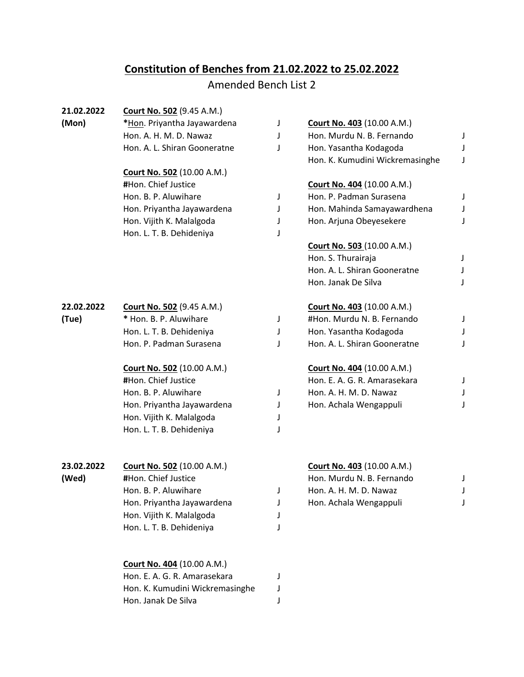## **Constitution of Benches from 21.02.2022 to 25.02.2022**

## Amended Bench List 2

| 21.02.2022 | <b>Court No. 502 (9.45 A.M.)</b>  |   |                                   |              |
|------------|-----------------------------------|---|-----------------------------------|--------------|
| (Mon)      | *Hon. Priyantha Jayawardena       | J | <b>Court No. 403 (10.00 A.M.)</b> |              |
|            | Hon. A. H. M. D. Nawaz            | J | Hon. Murdu N. B. Fernando         | J            |
|            | Hon. A. L. Shiran Gooneratne      | J | Hon. Yasantha Kodagoda            | J            |
|            |                                   |   | Hon. K. Kumudini Wickremasinghe   | J            |
|            | <b>Court No. 502 (10.00 A.M.)</b> |   |                                   |              |
|            | #Hon. Chief Justice               |   | <b>Court No. 404 (10.00 A.M.)</b> |              |
|            | Hon. B. P. Aluwihare              | J | Hon. P. Padman Surasena           | J            |
|            | Hon. Priyantha Jayawardena        | J | Hon. Mahinda Samayawardhena       | J            |
|            | Hon. Vijith K. Malalgoda          | J | Hon. Arjuna Obeyesekere           | J            |
|            | Hon. L. T. B. Dehideniya          | J |                                   |              |
|            |                                   |   | <b>Court No. 503 (10.00 A.M.)</b> |              |
|            |                                   |   | Hon. S. Thurairaja                | J            |
|            |                                   |   | Hon. A. L. Shiran Gooneratne      | $\mathsf{l}$ |
|            |                                   |   | Hon. Janak De Silva               | J            |
| 22.02.2022 | <b>Court No. 502 (9.45 A.M.)</b>  |   | Court No. 403 (10.00 A.M.)        |              |
| (Tue)      | * Hon. B. P. Aluwihare            | J | #Hon. Murdu N. B. Fernando        | J            |
|            | Hon. L. T. B. Dehideniya          | J | Hon. Yasantha Kodagoda            | J            |
|            | Hon. P. Padman Surasena           | J | Hon. A. L. Shiran Gooneratne      | J            |
|            | <b>Court No. 502 (10.00 A.M.)</b> |   | <b>Court No. 404 (10.00 A.M.)</b> |              |
|            | #Hon. Chief Justice               |   | Hon. E. A. G. R. Amarasekara      | J            |
|            | Hon. B. P. Aluwihare              | J | Hon. A. H. M. D. Nawaz            | J            |
|            | Hon. Priyantha Jayawardena        | J | Hon. Achala Wengappuli            | J            |
|            | Hon. Vijith K. Malalgoda          | J |                                   |              |
|            | Hon. L. T. B. Dehideniya          | J |                                   |              |
| 23.02.2022 | Court No. 502 (10.00 A.M.)        |   | <b>Court No. 403 (10.00 A.M.)</b> |              |
| (Wed)      | #Hon. Chief Justice               |   | Hon. Murdu N. B. Fernando         | J            |
|            | Hon. B. P. Aluwihare              | J | Hon. A. H. M. D. Nawaz            | J            |
|            | Hon. Priyantha Jayawardena        |   | Hon. Achala Wengappuli            |              |
|            | Hon. Vijith K. Malalgoda          |   |                                   |              |
|            | Hon. L. T. B. Dehideniya          |   |                                   |              |
|            | <b>Court No. 404 (10.00 A.M.)</b> |   |                                   |              |
|            | Hon. E. A. G. R. Amarasekara      | J |                                   |              |
|            | Hon. K. Kumudini Wickremasinghe   |   |                                   |              |
|            |                                   |   |                                   |              |

Hon. Janak De Silva J